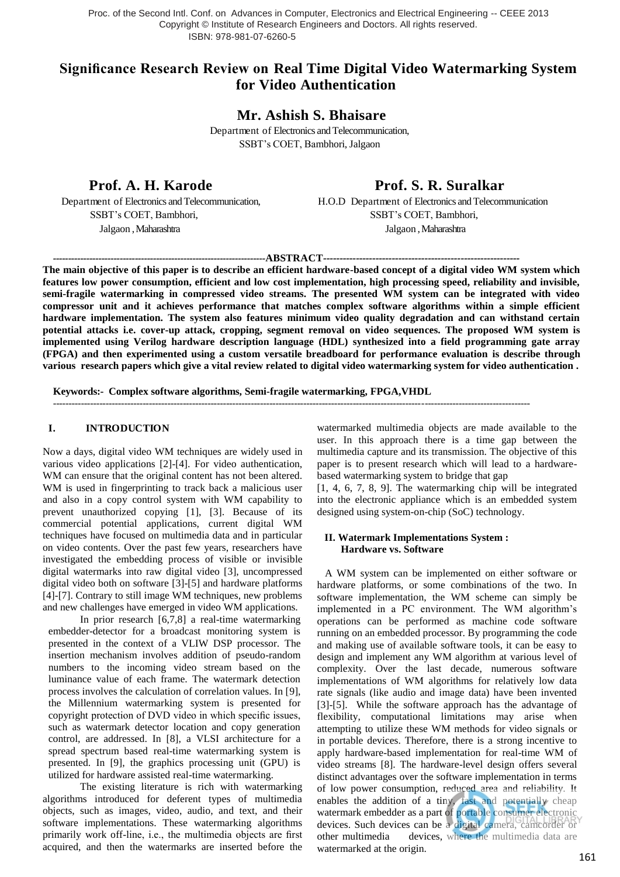# **Significance Research Review on Real Time Digital Video Watermarking System for Video Authentication**

**Mr. Ashish S. Bhaisare**

Department of Electronics and Telecommunication, SSBT's COET, Bambhori, Jalgaon

**Prof. A. H. Karode Prof. S. R. Suralkar** 

Department of Electronics and Telecommunication, H.O.D Department of Electronics and Telecommunication SSBT's COET, Bambhori, SSBT's COET, Bambhori, Jalgaon , Maharashtra Jalgaon , Maharashtra

*----------------------------------------------------------------------***ABSTRACT***------------------------------------------------------------*

**The main objective of this paper is to describe an efficient hardware-based concept of a digital video WM system which features low power consumption, efficient and low cost implementation, high processing speed, reliability and invisible, semi-fragile watermarking in compressed video streams. The presented WM system can be integrated with video compressor unit and it achieves performance that matches complex software algorithms within a simple efficient hardware implementation. The system also features minimum video quality degradation and can withstand certain potential attacks i.e. cover-up attack, cropping, segment removal on video sequences. The proposed WM system is implemented using Verilog hardware description language (HDL) synthesized into a field programming gate array (FPGA) and then experimented using a custom versatile breadboard for performance evaluation is describe through various research papers which give a vital review related to digital video watermarking system for video authentication .**

----------------------------------------------------------------------------------------------------------------------------------------------------------

**Keywords:- Complex software algorithms, Semi-fragile watermarking, FPGA,VHDL**

#### **I. INTRODUCTION**

Now a days, digital video WM techniques are widely used in various video applications [2]-[4]. For video authentication, WM can ensure that the original content has not been altered. WM is used in fingerprinting to track back a malicious user and also in a copy control system with WM capability to prevent unauthorized copying [1], [3]. Because of its commercial potential applications, current digital WM techniques have focused on multimedia data and in particular on video contents. Over the past few years, researchers have investigated the embedding process of visible or invisible digital watermarks into raw digital video [3], uncompressed digital video both on software [3]-[5] and hardware platforms [4]-[7]. Contrary to still image WM techniques, new problems and new challenges have emerged in video WM applications.

In prior research [6,7,8] a real-time watermarking embedder-detector for a broadcast monitoring system is presented in the context of a VLIW DSP processor. The insertion mechanism involves addition of pseudo-random numbers to the incoming video stream based on the luminance value of each frame. The watermark detection process involves the calculation of correlation values. In [9], the Millennium watermarking system is presented for copyright protection of DVD video in which specific issues, such as watermark detector location and copy generation control, are addressed. In [8], a VLSI architecture for a spread spectrum based real-time watermarking system is presented. In [9], the graphics processing unit (GPU) is utilized for hardware assisted real-time watermarking.

The existing literature is rich with watermarking algorithms introduced for deferent types of multimedia objects, such as images, video, audio, and text, and their software implementations. These watermarking algorithms primarily work off-line, i.e., the multimedia objects are first acquired, and then the watermarks are inserted before the watermarked multimedia objects are made available to the user. In this approach there is a time gap between the multimedia capture and its transmission. The objective of this paper is to present research which will lead to a hardwarebased watermarking system to bridge that gap

[1, 4, 6, 7, 8, 9]. The watermarking chip will be integrated into the electronic appliance which is an embedded system designed using system-on-chip (SoC) technology.

## **II. Watermark Implementations System : Hardware vs. Software**

 A WM system can be implemented on either software or hardware platforms, or some combinations of the two. In software implementation, the WM scheme can simply be implemented in a PC environment. The WM algorithm's operations can be performed as machine code software running on an embedded processor. By programming the code and making use of available software tools, it can be easy to design and implement any WM algorithm at various level of complexity. Over the last decade, numerous software implementations of WM algorithms for relatively low data rate signals (like audio and image data) have been invented [3]-[5]. While the software approach has the advantage of flexibility, computational limitations may arise when attempting to utilize these WM methods for video signals or in portable devices. Therefore, there is a strong incentive to apply hardware-based implementation for real-time WM of video streams [8]. The hardware-level design offers several distinct advantages over the software implementation in terms of low power consumption, reduced area and reliability. It enables the addition of a tiny, fast and potentially cheap watermark embedder as a part of portable consumer electronic devices. Such devices can be a digital camera, camcorder or other multimedia devices, where the multimedia data are watermarked at the origin.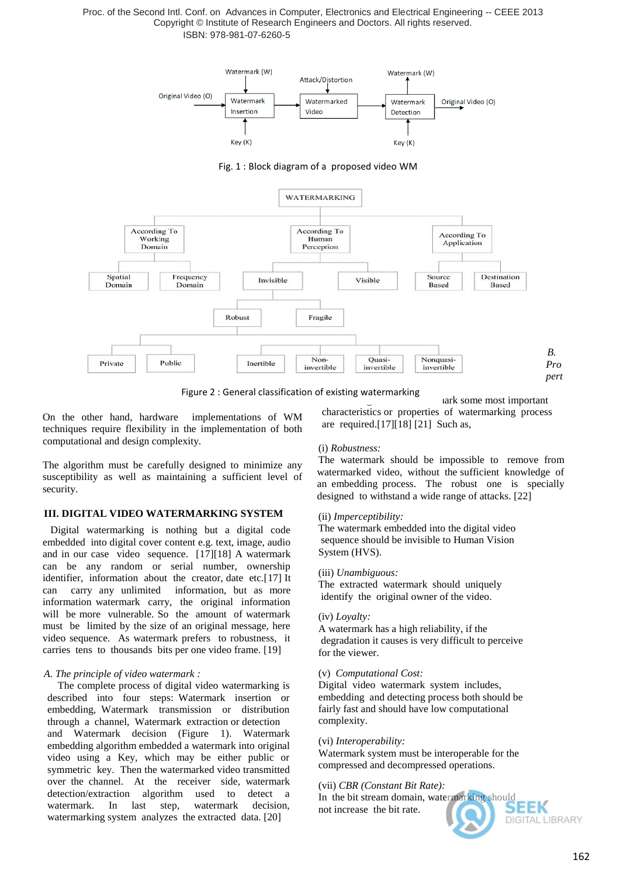

Fig. 1 : Block diagram of a proposed video WM



Figure 2 : General classification of existing watermarking

On the other hand, hardware implementations of WM techniques require flexibility in the implementation of both computational and design complexity.

The algorithm must be carefully designed to minimize any susceptibility as well as maintaining a sufficient level of security.

## **III. DIGITAL VIDEO WATERMARKING SYSTEM**

 Digital watermarking is nothing but a digital code embedded into digital cover content e.g. text, image, audio and in our case video sequence. [17][18] A watermark can be any random or serial number, ownership identifier, information about the creator, date etc.[17] It can carry any unlimited information, but as more information watermark carry, the original information will be more vulnerable. So the amount of watermark must be limited by the size of an original message, here video sequence. As watermark prefers to robustness, it carries tens to thousands bits per one video frame. [19]

## *A. The principle of video watermark :*

 The complete process of digital video watermarking is described into four steps: Watermark insertion or embedding, Watermark transmission or distribution through a channel, Watermark extraction or detection and Watermark decision (Figure 1). Watermark embedding algorithm embedded a watermark into original video using a Key, which may be either public or symmetric key. Then the watermarked video transmitted over the channel. At the receiver side, watermark detection/extraction algorithm used to detect a watermark. In last step, watermark decision, watermarking system analyzes the extracted data. [20]

ark some most important characteristics or properties of watermarking process are required.[17][18] [21] Such as,

## (i) *Robustness:*

The watermark should be impossible to remove from watermarked video, without the sufficient knowledge of an embedding process. The robust one is specially designed to withstand a wide range of attacks. [22]

## (ii) *Imperceptibility:*

The watermark embedded into the digital video sequence should be invisible to Human Vision System (HVS).

## (iii) *Unambiguous:*

The extracted watermark should uniquely identify the original owner of the video.

## (iv) *Loyalty:*

A watermark has a high reliability, if the degradation it causes is very difficult to perceive for the viewer.

## (v)*Computational Cost:*

Digital video watermark system includes, embedding and detecting process both should be fairly fast and should have low computational complexity.

## (vi) *Interoperability:*

Watermark system must be interoperable for the compressed and decompressed operations.

## (vii) *CBR (Constant Bit Rate):*

In the bit stream domain, watermarking should not increase the bit rate. DIGITAL LIBRARY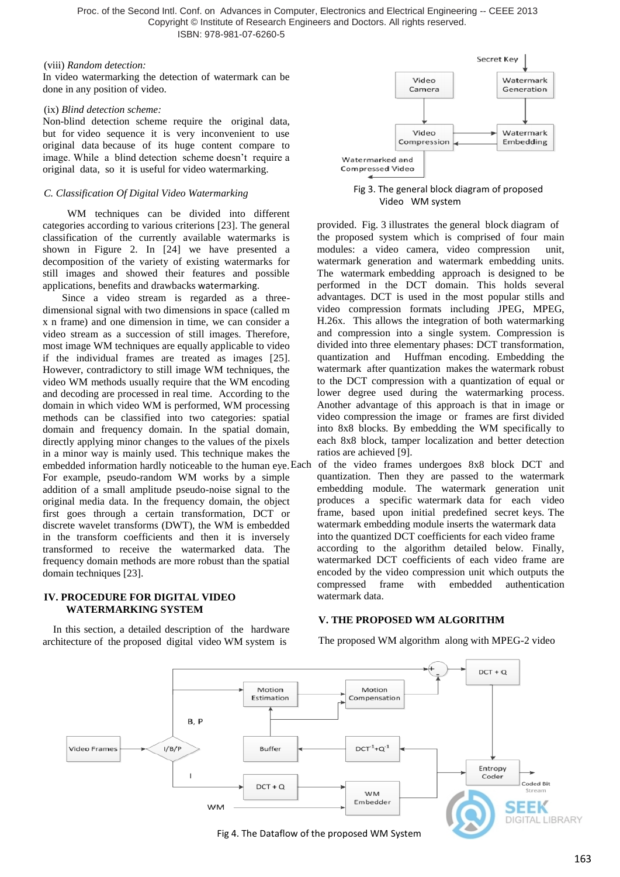#### (viii) *Random detection:*

In video watermarking the detection of watermark can be done in any position of video.

#### (ix) *Blind detection scheme:*

Non-blind detection scheme require the original data, but for video sequence it is very inconvenient to use original data because of its huge content compare to image. While a blind detection scheme doesn't require a original data, so it is useful for video watermarking.

#### *C. Classification Of Digital Video Watermarking*

 WM techniques can be divided into different categories according to various criterions [23]. The general classification of the currently available watermarks is shown in Figure 2. In [24] we have presented a decomposition of the variety of existing watermarks for still images and showed their features and possible applications, benefits and drawbacks watermarking.

Since a video stream is regarded as a threedimensional signal with two dimensions in space (called m x n frame) and one dimension in time, we can consider a video stream as a succession of still images. Therefore, most image WM techniques are equally applicable to video if the individual frames are treated as images [25]. However, contradictory to still image WM techniques, the video WM methods usually require that the WM encoding and decoding are processed in real time. According to the domain in which video WM is performed, WM processing methods can be classified into two categories: spatial domain and frequency domain. In the spatial domain, directly applying minor changes to the values of the pixels in a minor way is mainly used. This technique makes the embedded information hardly noticeable to the human eye. For example, pseudo-random WM works by a simple addition of a small amplitude pseudo-noise signal to the original media data. In the frequency domain, the object first goes through a certain transformation, DCT or discrete wavelet transforms (DWT), the WM is embedded in the transform coefficients and then it is inversely transformed to receive the watermarked data. The frequency domain methods are more robust than the spatial domain techniques [23].

#### **IV. PROCEDURE FOR DIGITAL VIDEO WATERMARKING SYSTEM**

 In this section, a detailed description of the hardware architecture of the proposed digital video WM system is



Fig 3. The general block diagram of proposed Video WM system

provided. Fig. 3 illustrates the general block diagram of the proposed system which is comprised of four main modules: a video camera, video compression unit, watermark generation and watermark embedding units. The watermark embedding approach is designed to be performed in the DCT domain. This holds several advantages. DCT is used in the most popular stills and video compression formats including JPEG, MPEG, H.26x. This allows the integration of both watermarking and compression into a single system. Compression is divided into three elementary phases: DCT transformation, quantization and Huffman encoding. Embedding the watermark after quantization makes the watermark robust to the DCT compression with a quantization of equal or lower degree used during the watermarking process. Another advantage of this approach is that in image or video compression the image or frames are first divided into 8x8 blocks. By embedding the WM specifically to each 8x8 block, tamper localization and better detection ratios are achieved [9].

of the video frames undergoes 8x8 block DCT and quantization. Then they are passed to the watermark embedding module. The watermark generation unit produces a specific watermark data for each video frame, based upon initial predefined secret keys. The watermark embedding module inserts the watermark data into the quantized DCT coefficients for each video frame according to the algorithm detailed below. Finally, watermarked DCT coefficients of each video frame are encoded by the video compression unit which outputs the compressed frame with embedded authentication watermark data.

## **V. THE PROPOSED WM ALGORITHM**

The proposed WM algorithm along with MPEG-2 video



Fig 4. The Dataflow of the proposed WM System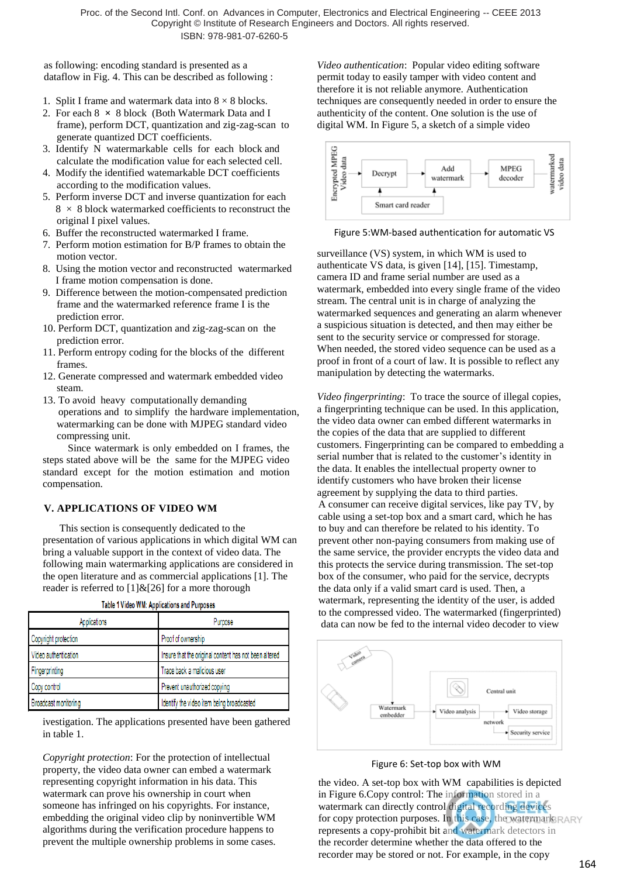as following: encoding standard is presented as a dataflow in Fig. 4. This can be described as following :

- 1. Split I frame and watermark data into  $8 \times 8$  blocks.
- 2. For each 8 **×** 8 block (Both Watermark Data and I frame), perform DCT, quantization and zig-zag-scan to generate quantized DCT coefficients.
- 3. Identify N watermarkable cells for each block and calculate the modification value for each selected cell.
- 4. Modify the identified watemarkable DCT coefficients according to the modification values.
- 5. Perform inverse DCT and inverse quantization for each 8 × 8 block watermarked coefficients to reconstruct the original I pixel values.
- 6. Buffer the reconstructed watermarked I frame.
- 7. Perform motion estimation for B/P frames to obtain the motion vector.
- 8. Using the motion vector and reconstructed watermarked I frame motion compensation is done.
- 9. Difference between the motion-compensated prediction frame and the watermarked reference frame I is the prediction error.
- 10. Perform DCT, quantization and zig-zag-scan on the prediction error.
- 11. Perform entropy coding for the blocks of the different frames.
- 12. Generate compressed and watermark embedded video steam.
- 13. To avoid heavy computationally demanding operations and to simplify the hardware implementation, watermarking can be done with MJPEG standard video compressing unit.

 Since watermark is only embedded on I frames, the steps stated above will be the same for the MJPEG video standard except for the motion estimation and motion compensation.

# **V. APPLICATIONS OF VIDEO WM**

 This section is consequently dedicated to the presentation of various applications in which digital WM can bring a valuable support in the context of video data. The following main watermarking applications are considered in the open literature and as commercial applications [1]. The reader is referred to  $[1]$  &  $[26]$  for a more thorough

| Applications         | Purpose                                               |
|----------------------|-------------------------------------------------------|
| Copyright protection | Proof of ownership                                    |
| Video authentication | Insure that the original content has not been altered |
| Fingerprinting       | Trace back a malicious user                           |
| Copy control         | Prevent unauthorized copying                          |
| Broadcast monitoring | Identify the video item being broadcasted             |

Table 1 Video WM: Applications and Purposes

ivestigation. The applications presented have been gathered in table 1.

*Copyright protection*: For the protection of intellectual property, the video data owner can embed a watermark representing copyright information in his data. This watermark can prove his ownership in court when someone has infringed on his copyrights. For instance, embedding the original video clip by noninvertible WM algorithms during the verification procedure happens to prevent the multiple ownership problems in some cases. *Video authentication*: Popular video editing software permit today to easily tamper with video content and therefore it is not reliable anymore. Authentication techniques are consequently needed in order to ensure the authenticity of the content. One solution is the use of digital WM. In Figure 5, a sketch of a simple video



#### Figure 5:WM-based authentication for automatic VS

surveillance (VS) system, in which WM is used to authenticate VS data, is given [14], [15]. Timestamp, camera ID and frame serial number are used as a watermark, embedded into every single frame of the video stream. The central unit is in charge of analyzing the watermarked sequences and generating an alarm whenever a suspicious situation is detected, and then may either be sent to the security service or compressed for storage. When needed, the stored video sequence can be used as a proof in front of a court of law. It is possible to reflect any manipulation by detecting the watermarks.

*Video fingerprinting*: To trace the source of illegal copies, a fingerprinting technique can be used. In this application, the video data owner can embed different watermarks in the copies of the data that are supplied to different customers. Fingerprinting can be compared to embedding a serial number that is related to the customer's identity in the data. It enables the intellectual property owner to identify customers who have broken their license agreement by supplying the data to third parties. A consumer can receive digital services, like pay TV, by cable using a set-top box and a smart card, which he has to buy and can therefore be related to his identity. To prevent other non-paying consumers from making use of the same service, the provider encrypts the video data and this protects the service during transmission. The set-top box of the consumer, who paid for the service, decrypts the data only if a valid smart card is used. Then, a watermark, representing the identity of the user, is added to the compressed video. The watermarked (fingerprinted) data can now be fed to the internal video decoder to view



Figure 6: Set-top box with WM

the video. A set-top box with WM capabilities is depicted in Figure 6.Copy control: The information stored in a watermark can directly control digital recording devices for copy protection purposes. In this case, the watermark RARY represents a copy-prohibit bit and watermark detectors in the recorder determine whether the data offered to the recorder may be stored or not. For example, in the copy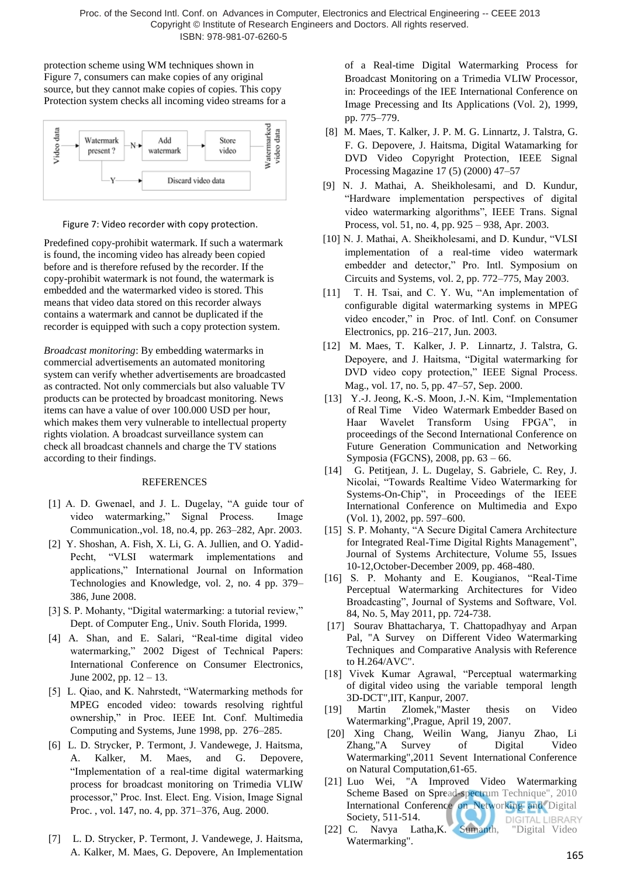protection scheme using WM techniques shown in Figure 7, consumers can make copies of any original source, but they cannot make copies of copies. This copy Protection system checks all incoming video streams for a



Figure 7: Video recorder with copy protection.

Predefined copy-prohibit watermark. If such a watermark is found, the incoming video has already been copied before and is therefore refused by the recorder. If the copy-prohibit watermark is not found, the watermark is embedded and the watermarked video is stored. This means that video data stored on this recorder always contains a watermark and cannot be duplicated if the recorder is equipped with such a copy protection system.

*Broadcast monitoring*: By embedding watermarks in commercial advertisements an automated monitoring system can verify whether advertisements are broadcasted as contracted. Not only commercials but also valuable TV products can be protected by broadcast monitoring. News items can have a value of over 100.000 USD per hour, which makes them very vulnerable to intellectual property rights violation. A broadcast surveillance system can check all broadcast channels and charge the TV stations according to their findings.

# REFERENCES

- [1] A. D. Gwenael, and J. L. Dugelay, "A guide tour of video watermarking," Signal Process. Image Communication.,vol. 18, no.4, pp. 263–282, Apr. 2003.
- [2] Y. Shoshan, A. Fish, X. Li, G. A. Jullien, and O. Yadid-Pecht, "VLSI watermark implementations and applications," International Journal on Information Technologies and Knowledge, vol. 2, no. 4 pp. 379– 386, June 2008.
- [3] S. P. Mohanty, "Digital watermarking: a tutorial review," Dept. of Computer Eng., Univ. South Florida, 1999.
- [4] A. Shan, and E. Salari, "Real-time digital video watermarking," 2002 Digest of Technical Papers: International Conference on Consumer Electronics, June 2002, pp.  $12 - 13$ .
- [5] L. Qiao, and K. Nahrstedt, "Watermarking methods for MPEG encoded video: towards resolving rightful ownership," in Proc. IEEE Int. Conf. Multimedia Computing and Systems, June 1998, pp. 276–285.
- [6] L. D. Strycker, P. Termont, J. Vandewege, J. Haitsma, A. Kalker, M. Maes, and G. Depovere, "Implementation of a real-time digital watermarking process for broadcast monitoring on Trimedia VLIW processor," Proc. Inst. Elect. Eng. Vision, Image Signal Proc. , vol. 147, no. 4, pp. 371–376, Aug. 2000.
- [7] L. D. Strycker, P. Termont, J. Vandewege, J. Haitsma, A. Kalker, M. Maes, G. Depovere, An Implementation

of a Real-time Digital Watermarking Process for Broadcast Monitoring on a Trimedia VLIW Processor, in: Proceedings of the IEE International Conference on Image Precessing and Its Applications (Vol. 2), 1999, pp. 775–779.

- [8] M. Maes, T. Kalker, J. P. M. G. Linnartz, J. Talstra, G. F. G. Depovere, J. Haitsma, Digital Watamarking for DVD Video Copyright Protection, IEEE Signal Processing Magazine 17 (5) (2000) 47–57
- [9] N. J. Mathai, A. Sheikholesami, and D. Kundur, "Hardware implementation perspectives of digital video watermarking algorithms", IEEE Trans. Signal Process, vol. 51, no. 4, pp. 925 – 938, Apr. 2003.
- [10] N. J. Mathai, A. Sheikholesami, and D. Kundur, "VLSI implementation of a real-time video watermark embedder and detector," Pro. Intl. Symposium on Circuits and Systems, vol. 2, pp. 772–775, May 2003.
- [11] T. H. Tsai, and C. Y. Wu, "An implementation of configurable digital watermarking systems in MPEG video encoder," in Proc. of Intl. Conf. on Consumer Electronics, pp. 216–217, Jun. 2003.
- [12] M. Maes, T. Kalker, J. P. Linnartz, J. Talstra, G. Depoyere, and J. Haitsma, "Digital watermarking for DVD video copy protection," IEEE Signal Process. Mag., vol. 17, no. 5, pp. 47–57, Sep. 2000.
- [13] Y.-J. Jeong, K.-S. Moon, J.-N. Kim, "Implementation of Real Time Video Watermark Embedder Based on Haar Wavelet Transform Using FPGA", in proceedings of the Second International Conference on Future Generation Communication and Networking Symposia (FGCNS), 2008, pp. 63 – 66.
- [14] G. Petitjean, J. L. Dugelay, S. Gabriele, C. Rey, J. Nicolai, "Towards Realtime Video Watermarking for Systems-On-Chip", in Proceedings of the IEEE International Conference on Multimedia and Expo (Vol. 1), 2002, pp. 597–600.
- [15] S. P. Mohanty, "A Secure Digital Camera Architecture for Integrated Real-Time Digital Rights Management", Journal of Systems Architecture, Volume 55, Issues 10-12,October-December 2009, pp. 468-480.
- [16] S. P. Mohanty and E. Kougianos, "Real-Time Perceptual Watermarking Architectures for Video Broadcasting", Journal of Systems and Software, Vol. 84, No. 5, May 2011, pp. 724-738.
- [17] Sourav Bhattacharya, T. Chattopadhyay and Arpan Pal, "A Survey on Different Video Watermarking Techniques and Comparative Analysis with Reference to H.264/AVC".
- [18] Vivek Kumar Agrawal, "Perceptual watermarking of digital video using the variable temporal length 3D-DCT",IIT, Kanpur, 2007.
- [19] Martin Zlomek,"Master thesis on Video Watermarking",Prague, April 19, 2007.
- [20] Xing Chang, Weilin Wang, Jianyu Zhao, Li Zhang,"A Survey of Digital Video Watermarking",2011 Sevent International Conference on Natural Computation,61-65.
- [21] Luo Wei, "A Improved Video Watermarking Scheme Based on Spread-spectrum Technique", 2010 International Conference on Networking and Digital Society, 511-514. **DIGITAL LIBRARY**
- [22] C. Navya Latha,K. Sumanth, "Digital Video Watermarking".